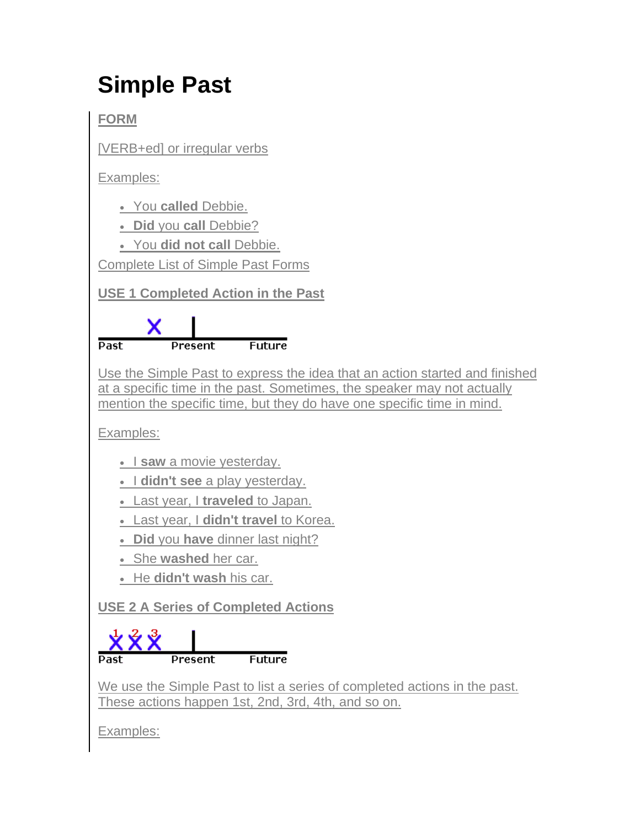## **Simple Past**

**FORM**

[VERB+ed] or irregular verbs

Examples:

You **called** Debbie.

**Did** you **call** Debbie?

You **did not call** Debbie.

Complete List of Simple Past Forms

**USE 1 Completed Action in the Past**



Use the Simple Past to express the idea that an action started and finished at a specific time in the past. Sometimes, the speaker may not actually mention the specific time, but they do have one specific time in mind.

Examples:

- I saw a movie yesterday.
- I didn't see a play yesterday.
- Last year, I **traveled** to Japan.
- Last year, I **didn't travel** to Korea.
- **Did** you **have** dinner last night?
- She **washed** her car.
- He **didn't wash** his car.

**USE 2 A Series of Completed Actions**



We use the Simple Past to list a series of completed actions in the past. These actions happen 1st, 2nd, 3rd, 4th, and so on.

Examples: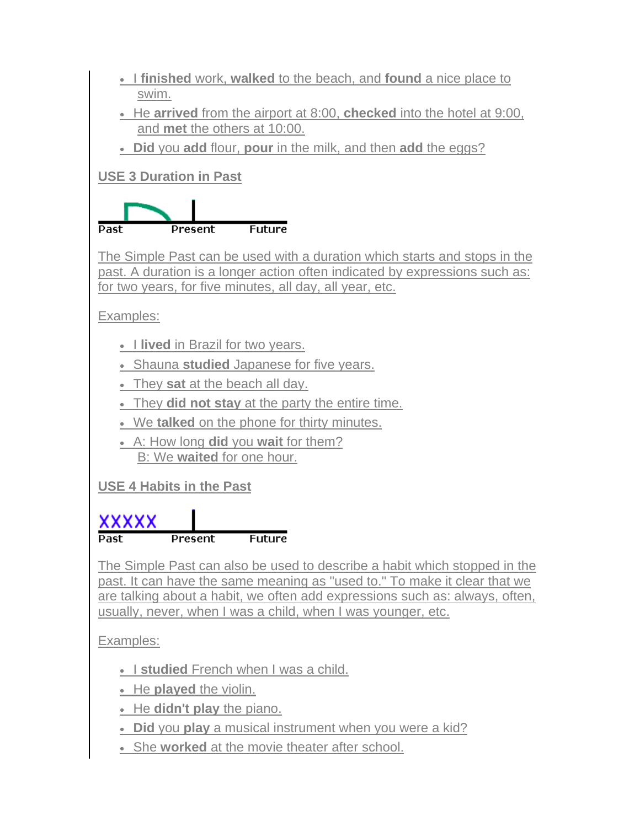| • I finished work, walked to the beach, and found a nice place to                                                                                                                                                                                                                                     |
|-------------------------------------------------------------------------------------------------------------------------------------------------------------------------------------------------------------------------------------------------------------------------------------------------------|
| swim.<br>• He arrived from the airport at 8:00, checked into the hotel at 9:00,                                                                                                                                                                                                                       |
| and met the others at 10:00.                                                                                                                                                                                                                                                                          |
| . Did you add flour, pour in the milk, and then add the eggs?                                                                                                                                                                                                                                         |
| <b>USE 3 Duration in Past</b>                                                                                                                                                                                                                                                                         |
|                                                                                                                                                                                                                                                                                                       |
| <b>Future</b><br>Past<br>Present                                                                                                                                                                                                                                                                      |
| The Simple Past can be used with a duration which starts and stops in the<br>past. A duration is a longer action often indicated by expressions such as:<br>for two years, for five minutes, all day, all year, etc.                                                                                  |
| Examples:                                                                                                                                                                                                                                                                                             |
| • I lived in Brazil for two years.                                                                                                                                                                                                                                                                    |
| • Shauna studied Japanese for five years.                                                                                                                                                                                                                                                             |
| • They sat at the beach all day.                                                                                                                                                                                                                                                                      |
| • They did not stay at the party the entire time.                                                                                                                                                                                                                                                     |
| . We talked on the phone for thirty minutes.                                                                                                                                                                                                                                                          |
| • A: How long <b>did</b> you <b>wait</b> for them?<br>B: We waited for one hour.                                                                                                                                                                                                                      |
|                                                                                                                                                                                                                                                                                                       |
| <b>USE 4 Habits in the Past</b>                                                                                                                                                                                                                                                                       |
| xxxxx                                                                                                                                                                                                                                                                                                 |
| <b>Future</b><br>rasc<br>Present                                                                                                                                                                                                                                                                      |
| The Simple Past can also be used to describe a habit which stopped in the<br>past. It can have the same meaning as "used to." To make it clear that we<br>are talking about a habit, we often add expressions such as: always, often,<br>usually, never, when I was a child, when I was younger, etc. |
| Examples:                                                                                                                                                                                                                                                                                             |
| • I studied French when I was a child.                                                                                                                                                                                                                                                                |
| • He played the violin.                                                                                                                                                                                                                                                                               |
| . He didn't play the piano.                                                                                                                                                                                                                                                                           |
| • Did you play a musical instrument when you were a kid?                                                                                                                                                                                                                                              |
| • She worked at the movie theater after school.                                                                                                                                                                                                                                                       |
|                                                                                                                                                                                                                                                                                                       |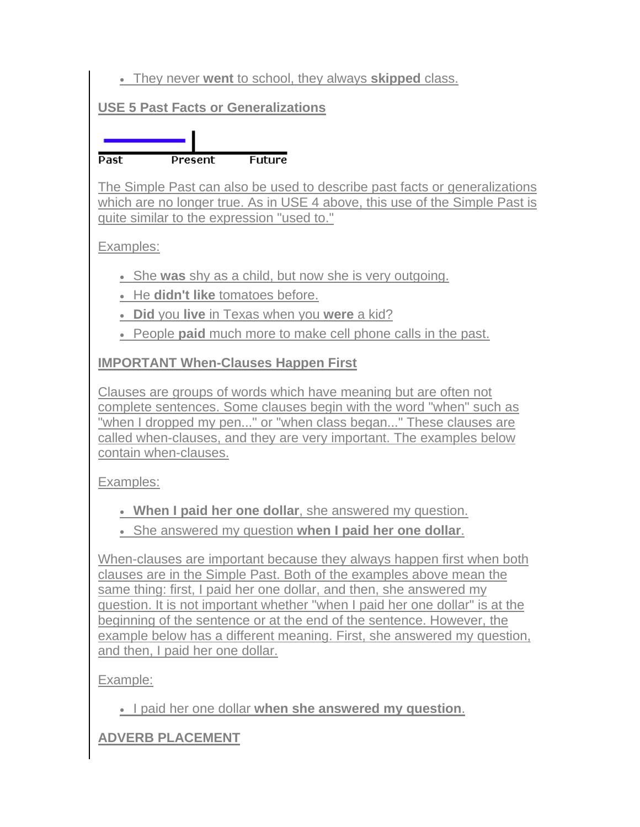They never **went** to school, they always **skipped** class.

## **USE 5 Past Facts or Generalizations**

**Future Past Present** 

The Simple Past can also be used to describe past facts or generalizations which are no longer true. As in USE 4 above, this use of the Simple Past is quite similar to the expression "used to."

Examples:

She **was** shy as a child, but now she is very outgoing.

• He **didn't like** tomatoes before.

**Did** you **live** in Texas when you **were** a kid?

People **paid** much more to make cell phone calls in the past.

**IMPORTANT When-Clauses Happen First**

Clauses are groups of words which have meaning but are often not complete sentences. Some clauses begin with the word "when" such as "when I dropped my pen..." or "when class began..." These clauses are called when-clauses, and they are very important. The examples below contain when-clauses.

Examples:

**When I paid her one dollar**, she answered my question.

She answered my question **when I paid her one dollar**.

When-clauses are important because they always happen first when both clauses are in the Simple Past. Both of the examples above mean the same thing: first, I paid her one dollar, and then, she answered my question. It is not important whether "when I paid her one dollar" is at the beginning of the sentence or at the end of the sentence. However, the example below has a different meaning. First, she answered my question, and then, I paid her one dollar.

Example:

I paid her one dollar **when she answered my question**.

**ADVERB PLACEMENT**